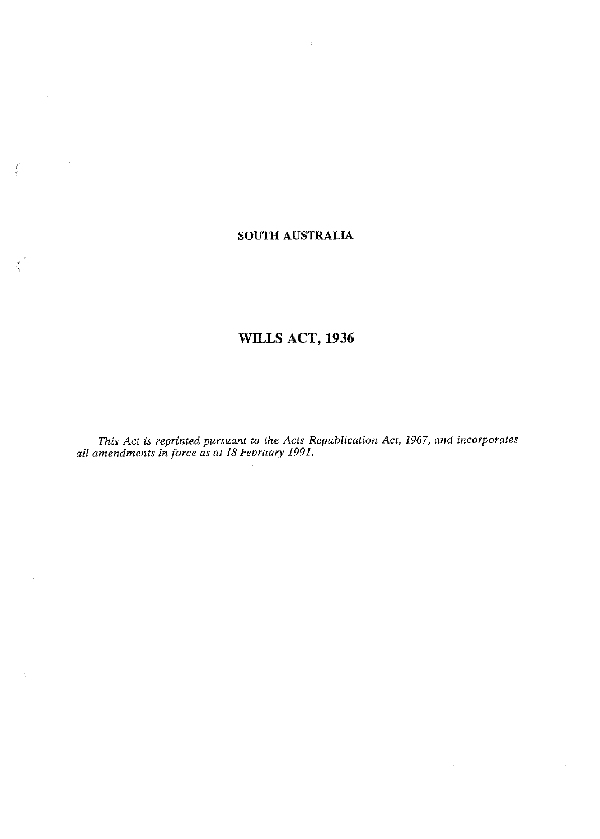# **SOUTH AUSTRALIA**

# **WILLS ACT, 1936**

*This Act is reprinted pursuant to the Acts Republication Act, 1967, and incorporates all amendments in force as at 18 February 1991.*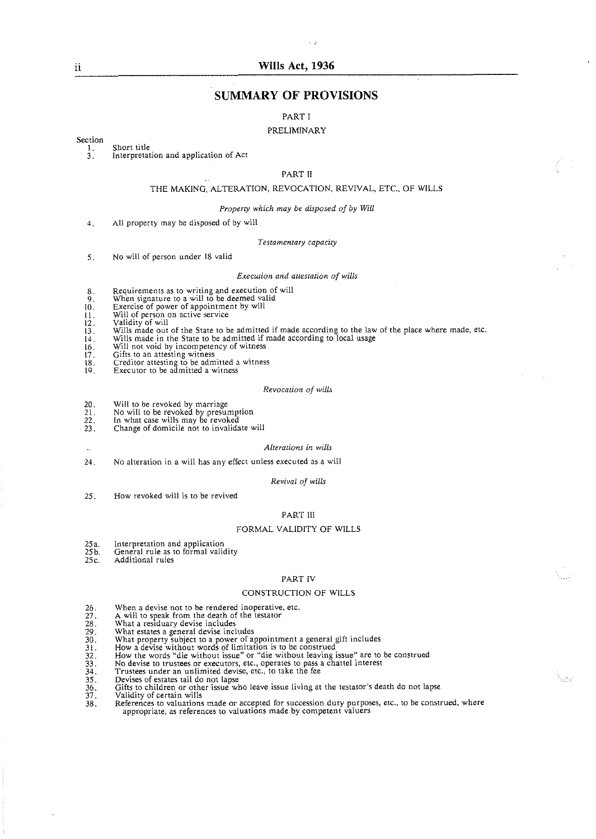# **Wills Act, 1936**

# **SUMMARY OF PROVISIONS**

PART I

#### PRELIMINARY

Section Short title

1. 3. Interpretation and application of Act

#### PART I1

#### THE MAKING. ALTERATION, REVOCATION. REVIVAL, ETC.. OF WILLS

#### *Properry which nay be disposed of by Will*

AII property may be disposed of by will  $4<sup>2</sup>$ 

#### *Testamentary capacity*

No will of person under 18 valid  $5.$ 

#### *Execution and attestation of wills*

- Requirements as to writing and execution of will
- 
- $\begin{array}{c} 8, \\ 9, \\ 10. \end{array}$
- Will of person on active service<br>Validity of will
- 
- Wills made out of the State to be admitted if made according to the law of the place where made, etc.
- $\frac{11}{12}$ .<br> $\frac{13}{14}$ . Wills made in the State to be admitted if made according to local usage
- $\frac{1}{16}$ .
- 
- Will not void by incompetency of witness<br>Gifts to an attesting witness<br>Creditor attesting to be admitted a witness<br>Executor to be admitted a witness  $^{18}_{19}$
- 

#### *Revocation of wills*

- 20.
- $\overline{2}\overline{1}$ :
- Will to be revoked by marriage No will to be revoked by presumption In what case wills may be revoked  $\frac{2}{2}$ <br>23.
- Change of domicile not to invalidate will

#### *Alterationc* in *wills*

 $24.$ No alteration in a will has any effect unless executed as a wili

#### *Revival of wills*

How revoked will is to be revived  $25.$ 

#### PART 111

#### FORMAL VALIDITY OF WILLS

- 25a. Interpretation and application
- $25b$ . General rule as to formal validity
- $25c$ . Additional rules

#### PART IV

#### CONSTRUCTION OF WILLS

Nurv

- When a devise not to be rendered inoperative, etc.
- A will to speak from the death of the testator<br>What a residuary devise includes
- 
- What estates a general devise includes
- What property subject to a power of appointment a general gift includes How a devise without words of limitation is to be construed
- 
- How the words "die without issue" or "die without leaving issue" are to be construed No devise to trustees or executors, etc., operates to pass a chattel interest Trustees under an unlimited devise, etc.. to take the fee
- 
- 
- 
- 
- $\frac{36}{37}$ .
- Devises of estates tail do not lapse<br>Gifts to children or other issue who leave issue living at the testator's death do not lapse<br>Validity of certain wills<br>References to valuations made or accepted for succession duty purp  $\overline{38}$ . where appropriate, as references to valuations made by competent valuers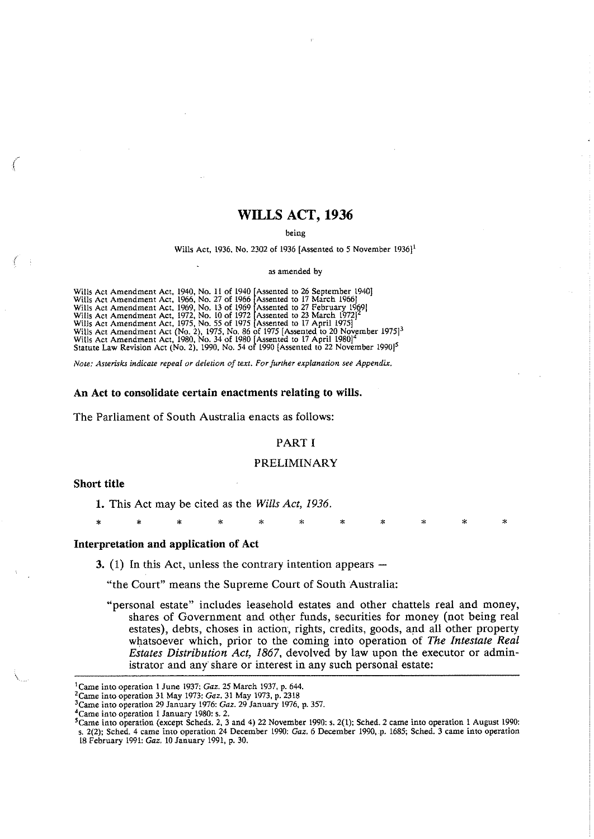# WILLS ACT, 1936

#### being

Wills Act, 1936. No. 2302 of 1936 [Assented to 5 November 1936)'

as amended by

Wills Act Amendment Act, 1940, No. 11 of 1940<br>Wills Act Amendment Act, 1966, No. 27 of 1966<br>Wills Act Amendment Act, 1969, No. 13 of 1969<br>Wills Act Amendment Act, 1972, No. 10 of 1972<br>Wills Act Amendment Act, 1975, No. 55 Wills Act Amendment Act, 1940, No. 11 of 1940 [Assented to 26 September 1940] Assented to 17 March 1966]<br>'Assented to 27 February 1969]<br>'Assented to 23 March 1972]<sup>2</sup><br>'Assented to 17 April 1975] Wills Act Amendment Act (No. 2), 1975. No. 86 of 1975 [Assented to 20 November 1975]<sup>3</sup><br>Wills Act Amendment Act, 1980, No. 34 of 1980 [Assented to 17 April 1980]<sup>4</sup> Wills Act Amendment Act (No. 2), 1975, No. 86 of 1975 [Assented to 20 November 1975]<sup>3</sup><br>Wills Act Amendment Act, 1980, No. 34 of 1980 [Assented to 17 April 1980]<sup>4</sup><br>Statute Law Revision Act (No. 2), 1990, No. 54 of 1990 [A

Note: Asterisks indicate repeal or deletion of text. For further explanation see Appendix.

#### **An Act to consolidate certain enactments relating to wills.**

The Parliament of South Australia enacts as follows:

## PART I

### PRELIMINARY

\* \* \* \* \* \* \* \* \* \* \*

#### **Short title**

**1.** This Act may be cited as the *Wills Act,* 1936.

**Interpretation and application of Act** 

**3.** (1) In this Act, unless the contrary intention appears –

"the Court" means the Supreme Court of South Australia:

"personal estate" includes leasehold estates and other chattels real and money, shares of Government and other funds, securities for money (not being real estates), debts, choses in action; rights, credits, goods, and all other property whatsoever which, prior to the coming into operation of *The Intestate Real Estates Distribution Act, 1867,* devolved by law upon the executor or administrator and any share or interest in any such personal estate:

<sup>&#</sup>x27;Came into ooeration 1 June 1937: **Gaz.** 25 March 1937. o. 644.

<sup>&</sup>lt;sup>2</sup> Came into operation 31 May 1973: Gaz. 31 May 1973, p. 2318

<sup>&#</sup>x27;came into operation 29 January 1976: **Gaz.** 29 January 1976. p. 357.

<sup>&#</sup>x27;Came into operation 1 January 1980: 5.2.

<sup>&</sup>lt;sup>5</sup> Came into operation (except Scheds. 2, 3 and 4) 22 November 1990: s. 2(1); Sched. 2 came into operation 1 August 1990: 5. 2(2): Sched. 4 came into operation 24 December 1990: **Gaz.** 6 December 1990, p. 1685; Sched. 3 came into operation 18 February 1991: **Gaz.** 10 January 1991, p. 30.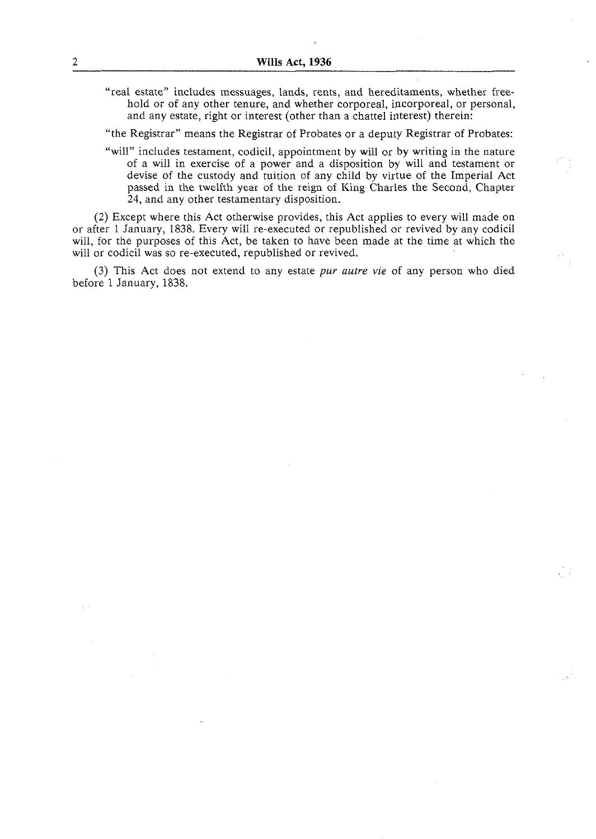"real estate" includes messuages, lands, rents, and hereditaments, whether freehold or of any other tenure, and whether corporeal, incorporeal, or personal, and any estate, right or interest (other than a chattel interest) therein:

"the Registrar" means the Registrar of Probates or a deputy Registrar of Probates:

"will" includes testament, codicil, appointment by will or by writing in the nature of a will in exercise of a power and a disposition by will and testament or devise of the custody and tuition of any child by virtue of the Imperial Act passed in the twelfth year of the reign of King Charles the Second, Chapter 24, and any other testamentary disposition.

(2) Except where this Act otherwise provides, this Act applies to every will made on or after 1 January, 1838. Every will re-executed or republished or revived by any codicil will, for the purposes of this Act, be taken to have been made at the time at which the will or codicil was so re-executed, republished or revived.

(3) This Act does not extend to any estate pur *autre vie* of any person who died before 1 January, 1838.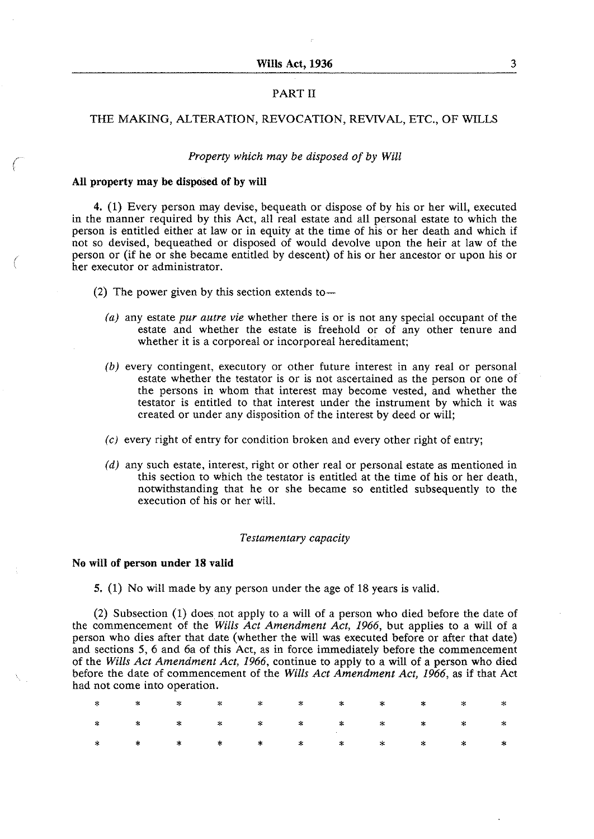# PART I1

# THE MAKING, ALTERATION, REVOCATION, REVIVAL, ETC., OF WILLS

#### *Property which may be disposed of by Will*

#### **All property may be disposed of by will**

4. (1) Every person may devise, bequeath or dispose of by his or her will, executed in the manner required by this Act, all real estate and all personal estate to which the person is entitled either at law or in equity at the time of his or her death and which if not so devised, bequeathed or disposed of would devolve upon the heir at law of the person or (if he or she became entitled by descent) of his or her ancestor or upon his or her executor or administrator.

- (2) The power given by this section extends to  $-$ 
	- *(a)* any estate *pur autre vie* whether there is or is not any special occupant of the estate and whether the estate is freehold or of any other tenure and whether it is a corporeal or incorporeal hereditament;
	- *(b)* every contingent, executory or other future interest in any real or personal estate whether the testator is or is not ascertained as the person or one of the persons in whom that interest may become vested, and whether the testator is entitled to that interest under the instrument by which it was created or under any disposition of the interest by deed or will;
	- *(c)* every right of entry for condition broken and every other right of entry;
	- *(d)* any such estate, interest, right or other real or personal estate as mentioned in this section to which the testator is entitled at the time of his or her death, notwithstanding that he or she became so entitled subsequently to the execution of his or her will.

### *Testamentary capacity*

### **No will of person under 18 valid**

5. (1) No will made by any person under the age of 18 years is valid.

(2) Subsection (1) does not apply to a will of a person who died before the date of the commencement of the *Wills Act Amendment Act, 1966,* but applies to a will of a person who dies after that date (whether the will was executed before or after that date) and sections 5, 6 and 6a of this Act, as in force immediately before the commencement of the *Wills Act Amendment Act, 1966,* continue to apply to a will of a person who died before the date of commencement of the *Wills Act Amendment Act, 1966,* as if that Act had not come into operation.

|  | $\begin{array}{ccccccccccccccccccccc} \ast & \ast & \ast & \ast & \ast & \ast & \ast & \ast & \ast & \ast & \ast & \ast \end{array}$ |  |  |  |  |
|--|--------------------------------------------------------------------------------------------------------------------------------------|--|--|--|--|
|  |                                                                                                                                      |  |  |  |  |
|  |                                                                                                                                      |  |  |  |  |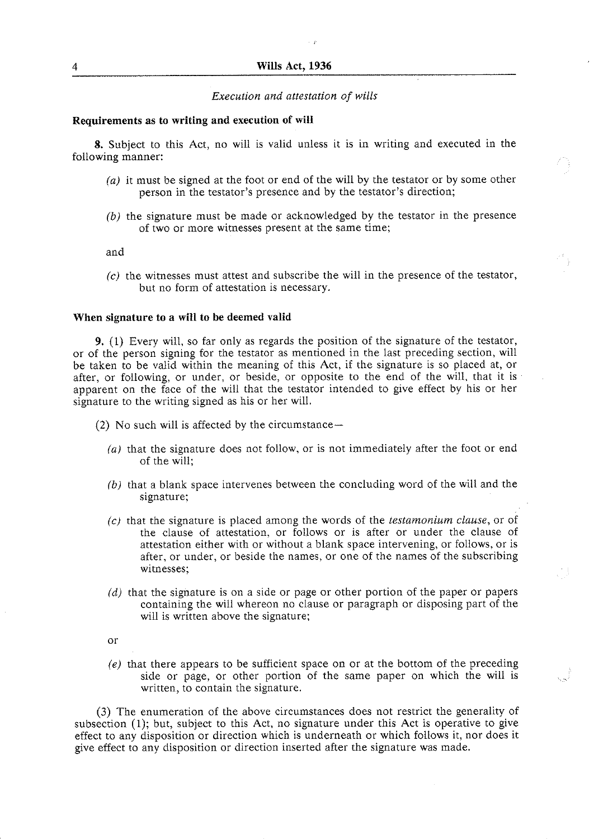# Wills Act, 1936

# *Execution and attestation of wills*

#### **Requirements as to writing and execution of will**

**8.** Subject to this Act, no will is valid unless it is in writing and executed in the following manner:

- *(a)* it must be signed at the foot or end of the will by the testator or by some other person in the testator's presence and by the testator's direction;
- *(b)* the signature must be made or acknowledged by the testator in the presence of two or more witnesses present at the same time;

and

*(c)* the witnesses must attest and subscribe the will in the presence of the testator, but no form of attestation is necessary.

### **When signature to a will to be deemed valid**

**9.** (1) Every will, so far only as regards the position of the signature of the testator, or of the person signing for the testator as mentioned in the last preceding section, will be taken to be valid within the meaning of this Act, if the signature is so placed at, or after, or following, or under, or beside, or opposite to the end of the will, that it is apparent on the face of the will that the testator intended to give effect by his or her signature to the writing signed as his or her will.

- (2) No such will is affected by the circumstance-
	- *(a)* that the signature does not follow, or is not immediately after the foot or end of the will;
	- *(b)* that a blank space intervenes between the concluding word of the will and the signature:
	- *(c)* that the signature is placed among the words of the *testamonium clause,* or of the clause of attestation, or follows or is after or under the clause of attestation either with or without a blank space intervening, or follows, or is after, or under, or beside the names, or one of the names of the subscribing witnesses;
	- (d) that the signature is on a side or page or other portion of the paper or papers containing the will whereon no clause or paragraph or disposing part of the will is written above the signature;
	- or
	- *(e)* that there appears to be sufficient space on or at the bottom of the preceding side or page, or other portion of the same paper on which the will is written, to contain the signature.

(3) The enumeration of the above circumstances does not restrict the generality of subsection (1); but, subject to this Act, no signature under this Act is operative to give effect to any disposition or direction which is underneath or which follows it, nor does it give effect to any disposition or direction inserted after the signature was made.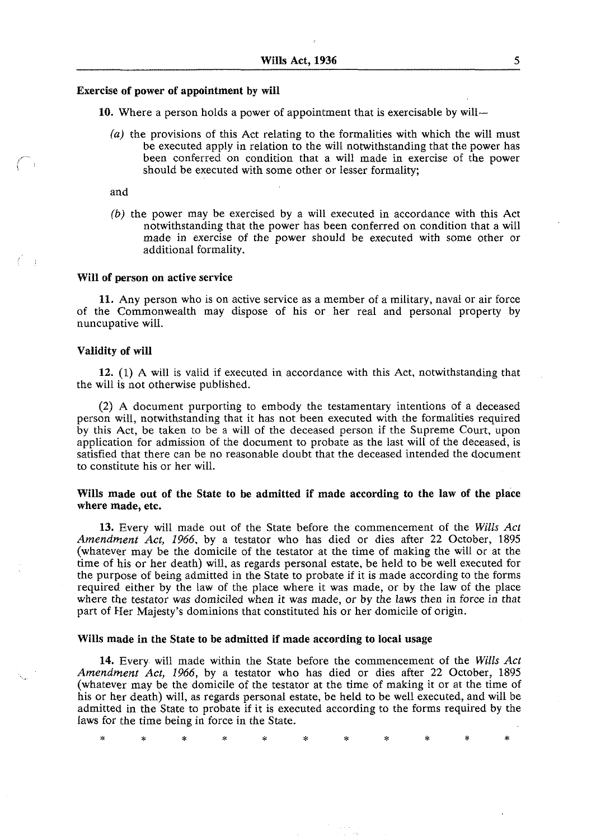#### **Exercise of power of appointment by will**

**10.** Where a person holds a power of appointment that is exercisable by will-

(a) the provisions of this Act relating to the formalities with which the will must be executed apply in relation to the will notwithstanding that the power has been conferred on condition that a will made in exercise of the power should be executed with some other or lesser formality;

and

 $\ell \rightarrow$ 

(b) the power may be exercised by a will executed in accordance with this Act notwithstanding that the power has been conferred on condition that a will made in exercise of the power should be executed with some other or additional formality.

# **Will of person on active service**

**11.** Any person who is on active service as a member of a military, naval or air force of the Commonwealth may dispose of his or her real and personal property by nuncupative will.

# **Validity of will**

**12. (1)** A will is valid if executed in accordance with this Act, notwithstanding that the will is not otherwise published.

(2) A document purporting to embody the testamentary intentions of a deceased person will, notwithstanding that it has not been executed with the formalities required by this Act, be taken to be a will of the deceased person if the Supreme Court, upon application for admission of the document to probate as the last will of the deceased, is satisfied that there can be no reasonable doubt that the deceased intended the document to constitute his or her will.

# **Wills made out of the State to he admitted if made according to the law of the place where made, etc.**

**13.** Every will made out of the State before the commencement of the **Wills** *Act Amendment Act, 1966,* by a testator who has died or dies after 22 October, 1895 (whatever may be the domicile of the testator at the time of making the will or at the time of his or her death) will, as regards personal estate, be held to be well executed for the purpose of being admitted in the State to probate if it is made according to the forms required either by the law of the place where it was made, or by the law of the place where the testator was domiciled when it was made, or by the laws then in force in that part of Her Majesty's dominions that constituted his or her domicile of origin.

# **Wills made in the State to be admitted if made according to local usage**

**14.** Every will made within the State before the commencement of the Wills *Act Amendment Act, 1966,* by a testator who has died or dies after 22 October, 1895 (whatever may be the domicile of the testator at the time of making it or at the time of his or her death) will, as regards personal estate, be held to be well executed, and will be admitted in the State to probate if it is executed according to the forms required by the laws for the time being in force in the State.

Ý. sk.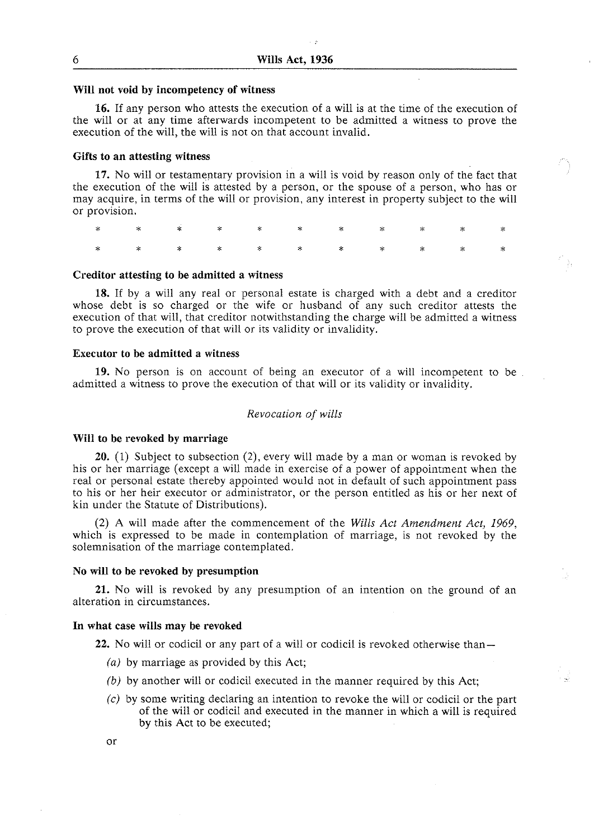#### **Will not void by incompetency of witness**

**16.** If any person who attests the execution of a will is at the time of the execution of the will or at any time afterwards incompetent to be admitted a witness to prove the execution of the will, the will is not on that account invalid.

### **Gifts to an attesting witness**

**17.** No will or testamentary provision in a will is void by reason only of the fact that the execution of the will is attested by a person, or the spouse of a person, who has or may acquire, in terms of the will or provision, any interest in property subject to the will or provision.

÷

### **Creditor attesting to be admitted a witness**

**18.** If by a will any real or personal estate is charged with a debt and a creditor whose debt is so charged or the wife or husband of any such creditor attests the execution of that will, that creditor notwithstanding the charge will be admitted a witness to prove the execution of that will or its validity or invalidity.

### **Executor to be admitted a witness**

**19.** No person is on account of being an executor of a will incompetent to be admitted a witness to prove the execution of that will or its validity or invalidity.

### *Revocation of wills*

#### **Will to be revoked by marriage**

**20. (1)** Subject to subsection *(2).* every will made by a man or woman is revoked by his or her marriage (except a will made in exercise of a power of appointment when the real or personal estate thereby appointed would not in default of such appointment pass to his or her heir executor or administrator, or the person entitled as his or her next of kin under the Statute of Distributions).

(2) A will made after the commencement of the *Wills Act Amendment Act, 1969,*  which is expressed to be made in contemplation of marriage, is not revoked by the solemnisation of the marriage contemplated.

#### **No will to be revoked by presumption**

**21.** No will is revoked by any presumption of an intention on the ground of an alteration in circumstances.

#### **In what case wills may be revoked**

**22.** No will or codicil or any part of a will or codicil is revoked otherwise than-

- *(a)* by marriage as provided by this Act;
- *(b)* by another will or codicil executed in the manner required by this Act;
- *(c)* by some writing declaring an intention to revoke the will or codicil or the part of the will or codicil and executed in the manner in which a will is required by this Act to be executed;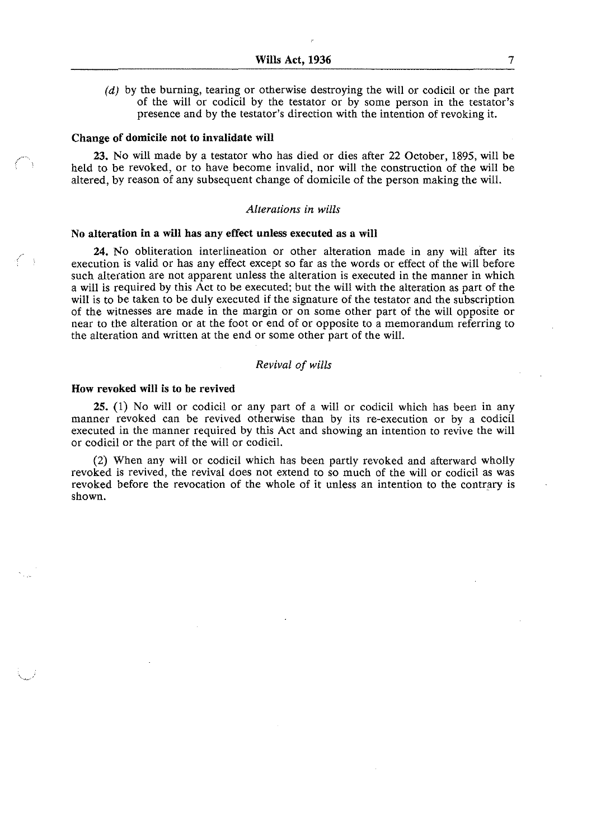$(d)$  by the burning, tearing or otherwise destroying the will or codicil or the part of the will or codicil by the testator or by some person in the testator's presence and by the testator's direction with the intention of revoking it.

#### **Change of domicile not to invalidate will**

**23.** No will made by a testator who has died or dies after 22 October, 1895, will be held to be revoked, or to have become invalid, nor will the construction of the will be altered, by reason of any subsequent change of domicile of the person making the will.

# *Alterations in wills*

# **No alteration in a will has any effect unless executed as a will**

**24.** No obliteration interlineation or other alteration made in any will after its execution is valid or has any effect except so far as the words or effect of the will before such alteration are not apparent unless the alteration is executed in the manner in which a will is required by this Act to be executed: but the will with the alteration as part of the will is to be taken to be duly executed if the signature of the testator and the subscription of the witnesses are made in the margin or on some other part of the will opposite or near to the alteration or at the foot or end of or opposite to a memorandum referring to the alteration and written at the end or some other part of the will.

### *Revival* of *wills*

## **How revoked will** is **to be revived**

 $\left( \begin{array}{cc} \bullet & \bullet \end{array} \right)$ 

**25. (1)** No will or codicil or any part of a will or codicil which has been in any manner revoked can be revived otherwise than by its re-execution or by a codicil executed in the manner required by this Act and showing an intention to revive the will or codicil or the part of the will or codicil.

**(2)** When any will or codicil which has been partly revoked and afterward wholly revoked is revived, the revival does not extend to so much of the will or codicil as was revoked before the revocation of the whole of it unless an intention to the contrary is shown.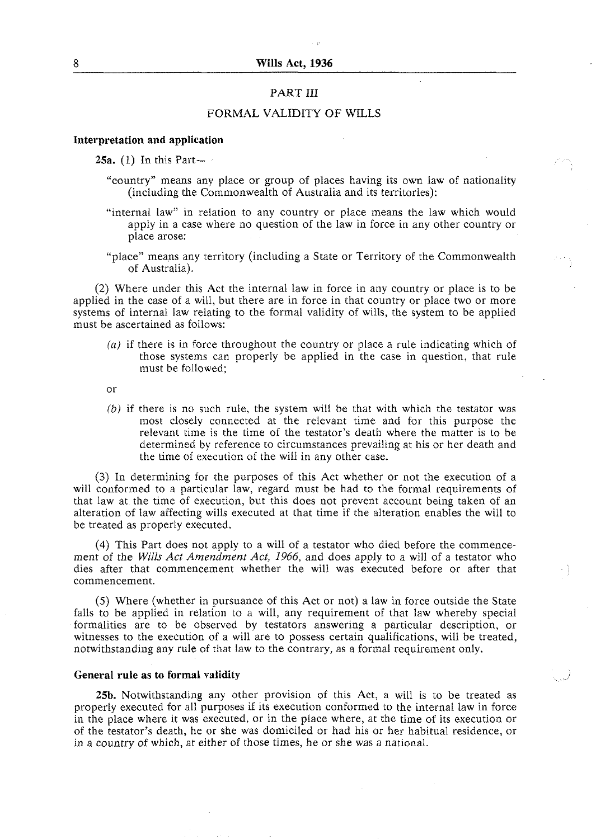# PART III

# FORMAL VALIDITY OF WILLS

# **Interpretation and application**

**25a.** (1) In this Part-

- "country" means any place or group of places having its own law of nationality (including the Commonwealth of Australia and its territories):
- "internal law" in relation to any country or place means the law which would apply in a case where no question of the law in force in any other country or place arose:
- "place" means any territory (including a State or Territory of the Commonwealth of Australia).

(2) Where under this Act the internal law in force in any country or place is to be applied in the case of a will, but there are in force in that country or place two or more systems of internal law relating to the formal validity of wills, the system to be applied must be ascertained as follows:

(a) if there is in force throughout the country or place a rule indicating which of those systems can properly be applied in the case in question, that rule must be followed;

or

*(b)* if there is no such rule, the system will be that with which the testator was most closely connected at the relevant time and for this purpose the relevant time is the time of the testator's death where the matter is to be determined by reference to circumstances prevailing at his or her death and the time of execution of the will in any other case.

**(3)** In determining for the purposes of this Act whether or not the execution of a will conformed to a particular law, regard must be had to the formal requirements of that law at the time of execution, but this does not prevent account being taken of an alteration of law affecting wills executed at that time if the alteration enables the will to be treated as properly executed.

(4) This Part does not apply to a will of a testator who died before the commencement of the *Wills Act Amendment Act, 1966,* and does apply to a will of a testator who dies after that commencement whether the will was executed before or after that commencement.

*(5)* Where (whether in pursuance of this Act or not) a law in force outside the State falls to be applied in relation to a will, any requirement of that law whereby special formalities are to be observed by testators answering a particular description, or witnesses to the execution of a will are to possess certain qualifications, will be treated, notwithstanding any rule of that law to the contrary, as a formal requirement only.

### **General rule as to formal validity**

**25b.** Notwithstanding any other provision of this Act, a will is to be treated as properly executed for all purposes if its execution conformed to the internal law in force in the place where it was executed, or in the place where, at the time of its execution or of the testator's death, he or she was domiciled or had his or her habitual residence, or in a country of which, at either of those times, he or she was a national.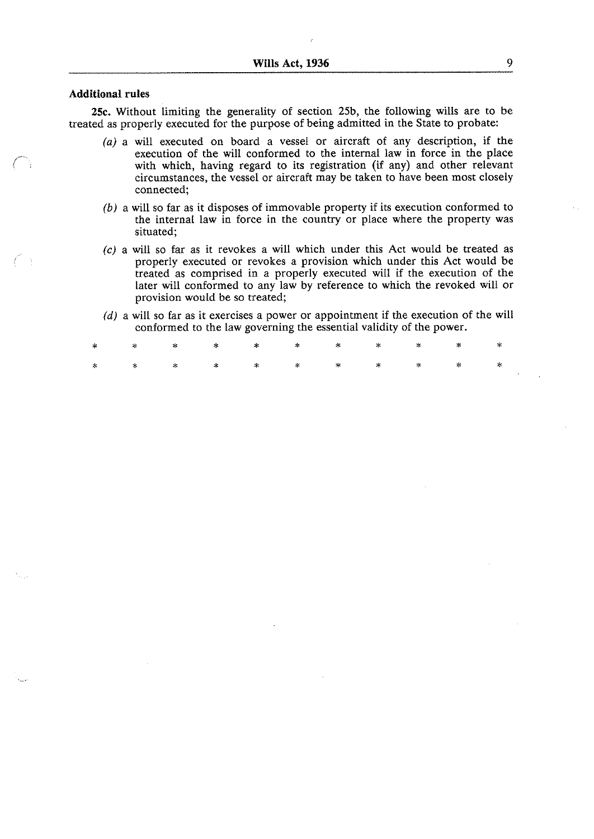# Additional rules

 $\ell'$  :

25c. Without limiting the generality of section 25b, the following wills are to be treated as properly executed for the purpose of being admitted in the State to probate:

- $(a)$  a will executed on board a vessel or aircraft of any description, if the execution of the will conformed to the internal law in force in the place with which, having regard to its registration (if any) and other relevant circumstances, the vessel or aircraft may be taken to have been most closely connected;
- *(b)* a will so far as it disposes of immovable property if its execution conformed to the internal law in force in the country or place where the property was situated;
- (c) a will so far as it revokes a will which under this Act would be treated as properly executed or revokes a provision which under this Act would be treated as comprised in a properly executed will if the execution of the later will conformed to any law by reference to which the revoked will or provision would be so treated;
- (d) a will so far as it exercises a power or appointment if the execution of the will conformed to the law governing the essential validity of the power.

|  |  |  |  | ネー・ネー・ネー ネー・ホー ホー ホー・ホー・ホー ホー・ホー ホー・ホー |  |
|--|--|--|--|----------------------------------------|--|
|  |  |  |  |                                        |  |

 $\mathcal{L}$ 

 $\mathbf{r}$ 

 $\mathcal{L}^{\mathcal{L}}$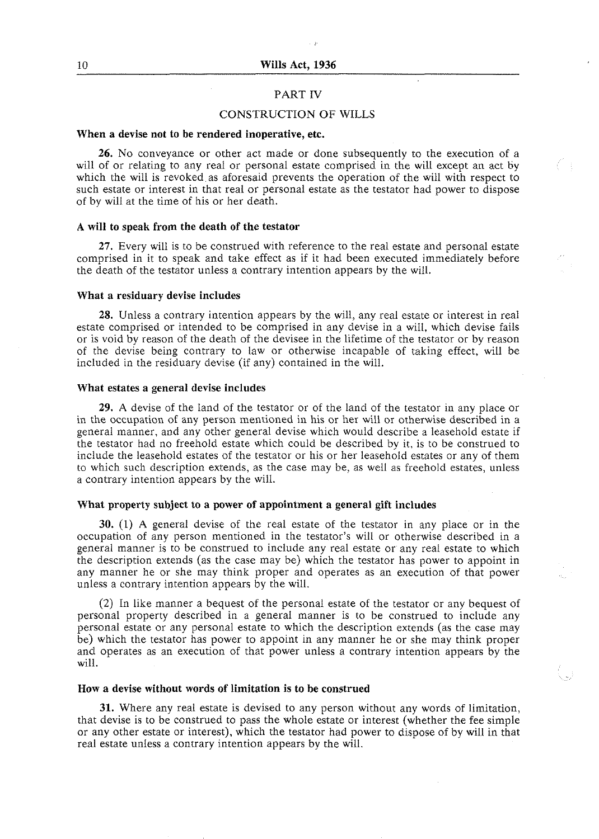#### PART IV

# CONSTRUCTION OF WILLS

#### **When a devise not to be rendered inoperative, etc.**

**26.** No conveyance or other act made or done subsequently to the execution of a will of or relating to any real or personal estate comprised in the will except an act by which the will is revoked as aforesaid prevents the operation of the will with respect to such estate or interest in that real or personal estate as the testator had power to dispose of by will at the time of his or her death.

#### **A will to speak from the death of the testator**

27. Every will is to be construed with reference to the real estate and personal estate comprised in it to speak and take effect as if it had been executed immediately before the death of the testator unless a contrary intention appears by the will.

### **What a residuary devise includes**

**28.** Unless a contrary intention appears by the will, any real estate or interest in real estate comprised or intended to be comprised in any devise in a will, which devise fails or is void by reason of the death of the devisee in the lifetime of the testator or by reason of the devise being contrary to law or otherwise incapable of taking effect, will be included in the residuary devise (if any) contained in the will.

# **What estates a general devise includes**

**29.** A devise of the land of the testator or of the land of the testator in any place or in the occupation of any person mentioned in his or her will or otherwise described in a general manner, and any other general devise which would describe a leasehold estate if the testator had no freehold estate which could be described by it, is to be construed to include the leasehold estates of the testator or his or her leasehold estates or any of them to which such description extends, as the case may be, as well as freehold estates, unless a contrary intention appears by the will.

#### **What property subject to a power of appointment a general gift includes**

**30.** (1) **A** general devise of the real estate of the testator in any place or in the occupation of any person mentioned in the testator's will or otherwise described in a general manner is to be construed to include any real estate or any real estate to which the description extends (as the case may be) which the testator has power to appoint in any manner he or she may think proper and operates as an execution of that power unless a contrary intention appears by the will.

(2) In like manner a bequest of the personal estate of the testator or any bequest of personal property described in a general manner is to be construed to include any personal estate or any personal estate to which the description extends (as the case may be) which the testator has power to appoint in any manner he or she may think proper and operates as an execution of that power unless a contrary intention appears by the will.

#### **How a devise without words of limitation is to be construed**

**31.** Where any real estate is devised to any person without any words of limitation, that devise is to be construed to pass the whole estate or interest (whether the fee simple or any other estate or interest), which the testator had power to dispose of by will in that real estate unless a contrary intention appears by the will.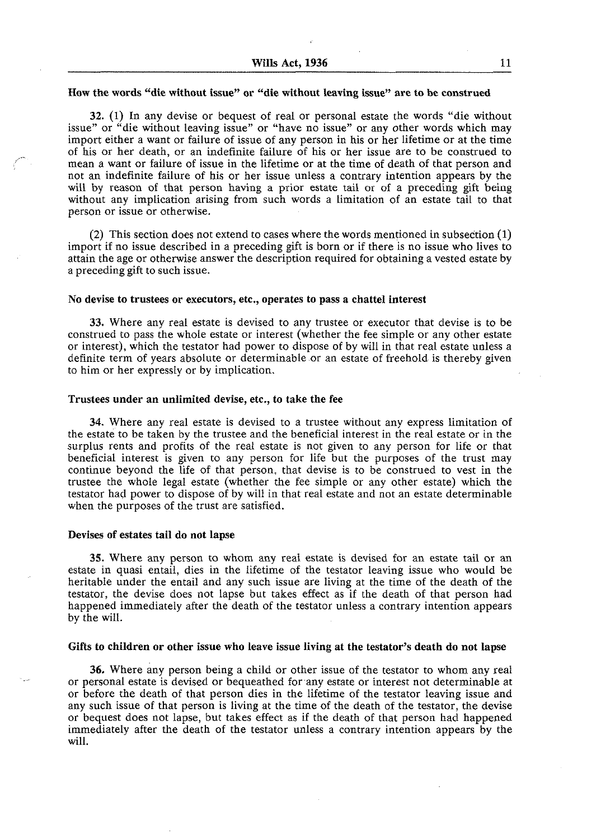#### **How the words "die without issue" or "die without leaving issue" are to be construed**

**32.** (1) In any devise or bequest of real or personal estate the words "die without issue" or "die without leaving issue" or "have no issue" or any other words which may import either a want or failure of issue of any person in his or her lifetime or at the time of his or her death, or an indefinite failure of his or her issue are to be construed to mean a want or failure of issue in the lifetime or at the time of death of that person and not an indefinite failure of his or her issue unless a contrary intention appears by the will by reason of that person having a prior estate tail or of a preceding gift being without any implication arising from such words a limitation of an estate tail to that person or issue or otherwise.

**(2)** This section does not extend to cases where the words mentioned in subsection (1) import if no issue described in a preceding gift is born or if there is no issue who lives to attain the age or otherwise answer the description required for obtaining a vested estate by a preceding gift to such issue.

#### **No devise to trustees or executors, etc., operates to pass a chattel interest**

**33.** Where any real estate is devised to any trustee or executor that devise is to be construed to pass the whole estate or interest (whether the fee simple or any other estate or interest), which the testator had power to dispose of by will in that real estate unless a definite term of years absolute or determinable or an estate of freehold is thereby given to him or her expressly or by implication.

# **Trustees under an unlimited devise, etc., to take the fee**

**34.** Where any real estate is devised to a trustee without any express limitation of the estate to be taken by the trustee and the beneficial interest in the real estate or in the surplus rents and profits of the real estate is not given to any person for life or that beneficial interest is given to any person for life but the purposes of the trust may continue beyond the life of that person, that devise is to be construed to vest in the trustee the whole legal estate (whether the fee simple or any other estate) which the testator had power to dispose of by will in that real estate and not an estate determinable when the purposes of the trust are satisfied.

#### **Devises of estates tail do not lapse**

**35.** Where any person to whom any real estate is devised for an estate tail or an estate in quasi entail, dies in the lifetime of the testator leaving issue who would be heritable under the entail and any such issue are living at the time of the death of the testator, the devise does not lapse but takes effect as if the death of that person had happened immediately after the death of the testator unless a contrary intention appears by the will.

#### **Gifts to children or other issue who leave issue living at the testator's death do not lapse**

**36.** Where any person being a child or other issue of the testator to whom any real or personal estate is devised or bequeathed forany estate or interest not determinable at or before the death of that person dies in the lifetime of the testator leaving issue and any such issue of that person is living at the time of the death of the testator, the devise or bequest does not lapse, but takes effect as if the death of that person had happened immediately after the death of the testator unless a contrary intention appears by the will.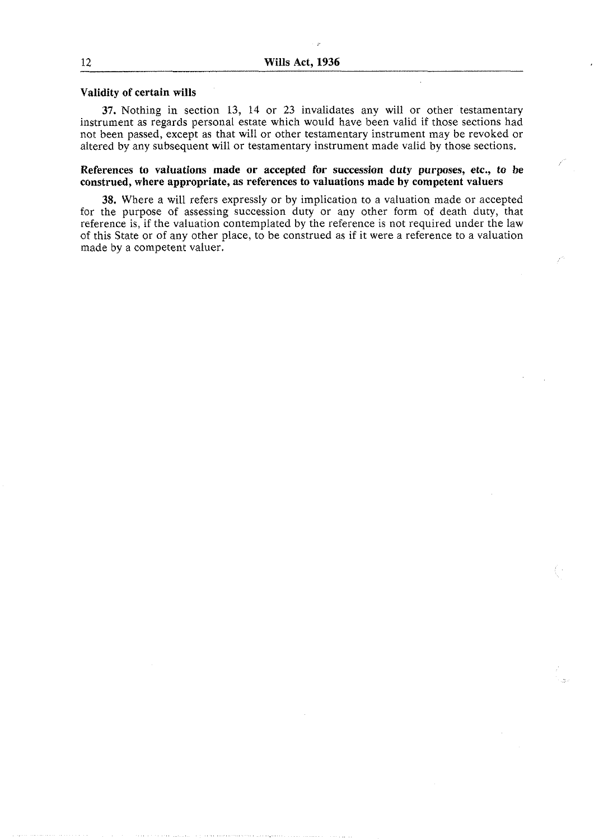#### **Validity of certain wills**

**37.** Nothing in section 13, 14 or 23 invalidates any will or other testamentary instrument as regards personal estate which would have been valid if those sections had not been passed, except as that will or other testamentary instrument may be revoked or altered by any subsequent will or testamentary instrument made valid by those sections.

# **References to valuations made or accepted for succession duty purposes, etc., to be construed, where appropriate, as references to valuations made by competent valuers**

**38.** Where a will refers expressly or by implication to a valuation made or accepted for the purpose of assessing succession duty or any other form of death duty, that reference is, if the valuation contemplated by the reference is not required under the law of this State or of any other place, to be construed as if it were a reference to a valuation made by a competent valuer.